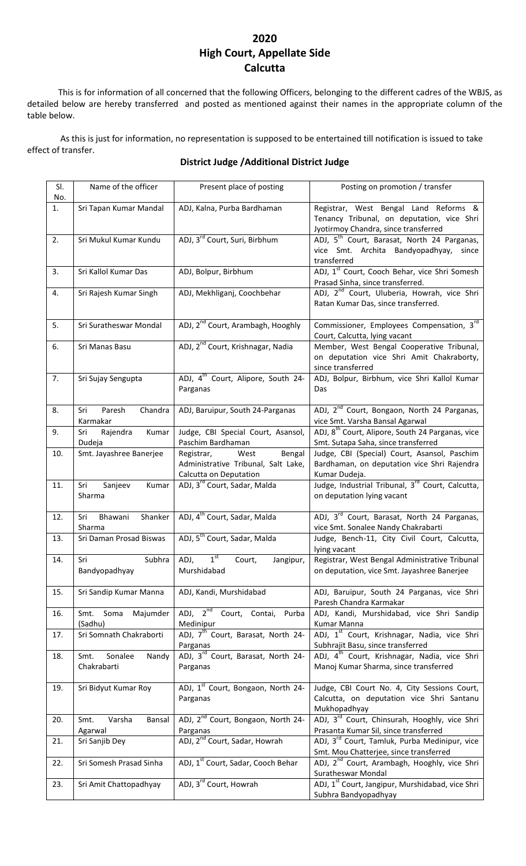## **2020 High Court, Appellate Side Calcutta**

This is for information of all concerned that the following Officers, belonging to the different cadres of the WBJS, as detailed below are hereby transferred and posted as mentioned against their names in the appropriate column of the table below.

As this is just for information, no representation is supposed to be entertained till notification is issued to take effect of transfer.

## **District Judge /Additional District Judge**

| SI.<br>No. | Name of the officer                     | Present place of posting                                                                      | Posting on promotion / transfer                                                                                             |
|------------|-----------------------------------------|-----------------------------------------------------------------------------------------------|-----------------------------------------------------------------------------------------------------------------------------|
| 1.         | Sri Tapan Kumar Mandal                  | ADJ, Kalna, Purba Bardhaman                                                                   | Registrar, West Bengal Land Reforms &<br>Tenancy Tribunal, on deputation, vice Shri<br>Jyotirmoy Chandra, since transferred |
| 2.         | Sri Mukul Kumar Kundu                   | ADJ, 3 <sup>rd</sup> Court, Suri, Birbhum                                                     | ADJ, 5 <sup>th</sup> Court, Barasat, North 24 Parganas,<br>vice Smt. Archita Bandyopadhyay, since<br>transferred            |
| 3.         | Sri Kallol Kumar Das                    | ADJ, Bolpur, Birbhum                                                                          | ADJ, 1 <sup>st</sup> Court, Cooch Behar, vice Shri Somesh<br>Prasad Sinha, since transferred.                               |
| 4.         | Sri Rajesh Kumar Singh                  | ADJ, Mekhliganj, Coochbehar                                                                   | ADJ, 2 <sup>nd</sup> Court, Uluberia, Howrah, vice Shri<br>Ratan Kumar Das, since transferred.                              |
| 5.         | Sri Suratheswar Mondal                  | ADJ, 2 <sup>nd</sup> Court, Arambagh, Hooghly                                                 | Commissioner, Employees Compensation, 3rd<br>Court, Calcutta, lying vacant                                                  |
| 6.         | Sri Manas Basu                          | ADJ, 2 <sup>nd</sup> Court, Krishnagar, Nadia                                                 | Member, West Bengal Cooperative Tribunal,<br>on deputation vice Shri Amit Chakraborty,<br>since transferred                 |
| 7.         | Sri Sujay Sengupta                      | ADJ, 4 <sup>th</sup> Court, Alipore, South 24-<br>Parganas                                    | ADJ, Bolpur, Birbhum, vice Shri Kallol Kumar<br>Das                                                                         |
| 8.         | Paresh<br>Chandra<br>Sri<br>Karmakar    | ADJ, Baruipur, South 24-Parganas                                                              | ADJ, 2 <sup>nd</sup> Court, Bongaon, North 24 Parganas,<br>vice Smt. Varsha Bansal Agarwal                                  |
| 9.         | Rajendra<br>Kumar<br>Sri<br>Dudeja      | Judge, CBI Special Court, Asansol,<br>Paschim Bardhaman                                       | ADJ, 8 <sup>th</sup> Court, Alipore, South 24 Parganas, vice<br>Smt. Sutapa Saha, since transferred                         |
| 10.        | Smt. Jayashree Banerjee                 | Bengal<br>West<br>Registrar,<br>Administrative Tribunal, Salt Lake,<br>Calcutta on Deputation | Judge, CBI (Special) Court, Asansol, Paschim<br>Bardhaman, on deputation vice Shri Rajendra<br>Kumar Dudeja.                |
| 11.        | Sanjeev<br>Kumar<br>Sri<br>Sharma       | ADJ, 3 <sup>rd</sup> Court, Sadar, Malda                                                      | Judge, Industrial Tribunal, 3rd Court, Calcutta,<br>on deputation lying vacant                                              |
| 12.        | Shanker<br>Bhawani<br>Sri<br>Sharma     | ADJ, 4 <sup>th</sup> Court, Sadar, Malda                                                      | ADJ, 3 <sup>rd</sup> Court, Barasat, North 24 Parganas,<br>vice Smt. Sonalee Nandy Chakrabarti                              |
| 13.        | Sri Daman Prosad Biswas                 | ADJ, 5 <sup>th</sup> Court, Sadar, Malda                                                      | Judge, Bench-11, City Civil Court, Calcutta,<br>lying vacant                                                                |
| 14.        | Subhra<br>Sri<br>Bandyopadhyay          | 1 <sup>st</sup><br>ADJ,<br>Court,<br>Jangipur,<br>Murshidabad                                 | Registrar, West Bengal Administrative Tribunal<br>on deputation, vice Smt. Jayashree Banerjee                               |
| 15.        | Sri Sandip Kumar Manna                  | ADJ, Kandi, Murshidabad                                                                       | ADJ, Baruipur, South 24 Parganas, vice Shri<br>Paresh Chandra Karmakar                                                      |
| 16.        | Majumder<br>Smt.<br>Soma<br>(Sadhu)     | ADJ, 2 <sup>nd</sup> Court, Contai,<br>Purba<br>Medinipur                                     | ADJ, Kandi, Murshidabad, vice Shri Sandip<br>Kumar Manna                                                                    |
| 17.        | Sri Somnath Chakraborti                 | ADJ, 7 <sup>th</sup> Court, Barasat, North 24-<br>Parganas                                    | ADJ, 1 <sup>st</sup> Court, Krishnagar, Nadia, vice Shri<br>Subhrajit Basu, since transferred                               |
| 18.        | Sonalee<br>Nandy<br>Smt.<br>Chakrabarti | ADJ, 3 <sup>rd</sup> Court, Barasat, North 24-<br>Parganas                                    | ADJ, 4 <sup>th</sup> Court, Krishnagar, Nadia, vice Shri<br>Manoj Kumar Sharma, since transferred                           |
| 19.        | Sri Bidyut Kumar Roy                    | ADJ, 1 <sup>st</sup> Court, Bongaon, North 24-<br>Parganas                                    | Judge, CBI Court No. 4, City Sessions Court,<br>Calcutta, on deputation vice Shri Santanu<br>Mukhopadhyay                   |
| 20.        | Varsha<br>Smt.<br>Bansal<br>Agarwal     | ADJ, 2 <sup>nd</sup> Court, Bongaon, North 24-<br>Parganas                                    | ADJ, 3 <sup>rd</sup> Court, Chinsurah, Hooghly, vice Shri<br>Prasanta Kumar Sil, since transferred                          |
| 21.        | Sri Sanjib Dey                          | ADJ, 2 <sup>nd</sup> Court, Sadar, Howrah                                                     | ADJ, 3 <sup>rd</sup> Court, Tamluk, Purba Medinipur, vice<br>Smt. Mou Chatterjee, since transferred                         |
| 22.        | Sri Somesh Prasad Sinha                 | ADJ, 1st Court, Sadar, Cooch Behar                                                            | ADJ, 2 <sup>nd</sup> Court, Arambagh, Hooghly, vice Shri<br>Suratheswar Mondal                                              |
| 23.        | Sri Amit Chattopadhyay                  | ADJ, 3rd Court, Howrah                                                                        | ADJ, 1 <sup>st</sup> Court, Jangipur, Murshidabad, vice Shri<br>Subhra Bandyopadhyay                                        |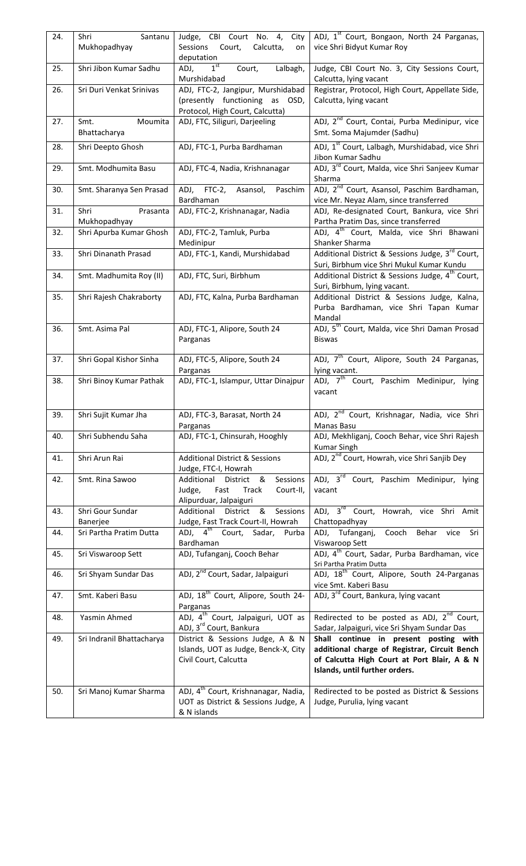| 24. | Shri<br>Santanu<br>Mukhopadhyay  | Judge, CBI Court No. 4, City<br>Sessions Court,<br>Calcutta,<br>on<br>deputation                       | ADJ, 1 <sup>st</sup> Court, Bongaon, North 24 Parganas,<br>vice Shri Bidyut Kumar Roy                                                                                    |
|-----|----------------------------------|--------------------------------------------------------------------------------------------------------|--------------------------------------------------------------------------------------------------------------------------------------------------------------------------|
| 25. | Shri Jibon Kumar Sadhu           | $1^{\text{st}}$<br>ADJ,<br>Lalbagh,<br>Court,<br>Murshidabad                                           | Judge, CBI Court No. 3, City Sessions Court,<br>Calcutta, lying vacant                                                                                                   |
| 26. | Sri Duri Venkat Srinivas         | ADJ, FTC-2, Jangipur, Murshidabad<br>(presently functioning as OSD,<br>Protocol, High Court, Calcutta) | Registrar, Protocol, High Court, Appellate Side,<br>Calcutta, lying vacant                                                                                               |
| 27. | Moumita<br>Smt.<br>Bhattacharya  | ADJ, FTC, Siliguri, Darjeeling                                                                         | ADJ, 2 <sup>nd</sup> Court, Contai, Purba Medinipur, vice<br>Smt. Soma Majumder (Sadhu)                                                                                  |
| 28. | Shri Deepto Ghosh                | ADJ, FTC-1, Purba Bardhaman                                                                            | ADJ, 1 <sup>st</sup> Court, Lalbagh, Murshidabad, vice Shri<br>Jibon Kumar Sadhu                                                                                         |
| 29. | Smt. Modhumita Basu              | ADJ, FTC-4, Nadia, Krishnanagar                                                                        | ADJ, 3 <sup>rd</sup> Court, Malda, vice Shri Sanjeev Kumar<br>Sharma                                                                                                     |
| 30. | Smt. Sharanya Sen Prasad         | ADJ, FTC-2, Asansol, Paschim<br>Bardhaman                                                              | ADJ, 2 <sup>nd</sup> Court, Asansol, Paschim Bardhaman,<br>vice Mr. Neyaz Alam, since transferred                                                                        |
| 31. | Shri<br>Prasanta<br>Mukhopadhyay | ADJ, FTC-2, Krishnanagar, Nadia                                                                        | ADJ, Re-designated Court, Bankura, vice Shri<br>Partha Pratim Das, since transferred                                                                                     |
| 32. | Shri Apurba Kumar Ghosh          | ADJ, FTC-2, Tamluk, Purba<br>Medinipur                                                                 | ADJ, 4 <sup>th</sup> Court, Malda, vice Shri Bhawani<br>Shanker Sharma                                                                                                   |
| 33. | Shri Dinanath Prasad             | ADJ, FTC-1, Kandi, Murshidabad                                                                         | Additional District & Sessions Judge, 3 <sup>rd</sup> Court,<br>Suri, Birbhum vice Shri Mukul Kumar Kundu                                                                |
| 34. | Smt. Madhumita Roy (II)          | ADJ, FTC, Suri, Birbhum                                                                                | Additional District & Sessions Judge, 4 <sup>th</sup> Court,<br>Suri, Birbhum, lying vacant.                                                                             |
| 35. | Shri Rajesh Chakraborty          | ADJ, FTC, Kalna, Purba Bardhaman                                                                       | Additional District & Sessions Judge, Kalna,<br>Purba Bardhaman, vice Shri Tapan Kumar<br>Mandal                                                                         |
| 36. | Smt. Asima Pal                   | ADJ, FTC-1, Alipore, South 24<br>Parganas                                                              | ADJ, 5 <sup>th</sup> Court, Malda, vice Shri Daman Prosad<br><b>Biswas</b>                                                                                               |
| 37. | Shri Gopal Kishor Sinha          | ADJ, FTC-5, Alipore, South 24<br>Parganas                                                              | ADJ, 7 <sup>th</sup> Court, Alipore, South 24 Parganas,<br>lying vacant.                                                                                                 |
| 38. | Shri Binoy Kumar Pathak          | ADJ, FTC-1, Islampur, Uttar Dinajpur                                                                   | ADJ, 7 <sup>th</sup> Court, Paschim Medinipur, lying<br>vacant                                                                                                           |
| 39. | Shri Sujit Kumar Jha             | ADJ, FTC-3, Barasat, North 24<br>Parganas                                                              | ADJ, 2 <sup>nd</sup> Court, Krishnagar, Nadia, vice Shri<br>Manas Basu                                                                                                   |
| 40. | Shri Subhendu Saha               | ADJ, FTC-1, Chinsurah, Hooghly                                                                         | ADJ, Mekhliganj, Cooch Behar, vice Shri Rajesh<br><b>Kumar Singh</b>                                                                                                     |
| 41. | Shri Arun Rai                    | <b>Additional District &amp; Sessions</b><br>Judge, FTC-I, Howrah                                      | ADJ, 2 <sup>nd</sup> Court, Howrah, vice Shri Sanjib Dey                                                                                                                 |
| 42. | Smt. Rina Sawoo                  | Additional District &<br>Sessions<br>Judge,<br>Fast<br>Track<br>Court-II,<br>Alipurduar, Jalpaiguri    | ADJ, 3 <sup>rd</sup> Court, Paschim Medinipur, lying<br>vacant                                                                                                           |
| 43. | Shri Gour Sundar<br>Banerjee     | Additional District &<br>Sessions<br>Judge, Fast Track Court-II, Howrah                                | ADJ, 3 <sup>rd</sup> Court, Howrah, vice Shri Amit<br>Chattopadhyay                                                                                                      |
| 44. | Sri Partha Pratim Dutta          | ADJ, 4 <sup>th</sup> Court, Sadar, Purba<br>Bardhaman                                                  | ADJ, Tufanganj,<br>Cooch<br>Behar vice Sri<br>Viswaroop Sett                                                                                                             |
| 45. | Sri Viswaroop Sett               | ADJ, Tufanganj, Cooch Behar                                                                            | ADJ, 4 <sup>th</sup> Court, Sadar, Purba Bardhaman, vice<br>Sri Partha Pratim Dutta                                                                                      |
| 46. | Sri Shyam Sundar Das             | ADJ, 2 <sup>nd</sup> Court, Sadar, Jalpaiguri                                                          | ADJ, 18 <sup>th</sup> Court, Alipore, South 24-Parganas<br>vice Smt. Kaberi Basu                                                                                         |
| 47. | Smt. Kaberi Basu                 | ADJ, 18 <sup>th</sup> Court, Alipore, South 24-<br>Parganas                                            | ADJ, 3 <sup>rd</sup> Court, Bankura, lying vacant                                                                                                                        |
| 48. | Yasmin Ahmed                     | ADJ, 4 <sup>th</sup> Court, Jalpaiguri, UOT as<br>ADJ, 3 <sup>rd</sup> Court, Bankura                  | Redirected to be posted as ADJ, 2 <sup>nd</sup> Court,<br>Sadar, Jalpaiguri, vice Sri Shyam Sundar Das                                                                   |
| 49. | Sri Indranil Bhattacharya        | District & Sessions Judge, A & N<br>Islands, UOT as Judge, Benck-X, City<br>Civil Court, Calcutta      | Shall continue in present posting with<br>additional charge of Registrar, Circuit Bench<br>of Calcutta High Court at Port Blair, A & N<br>Islands, until further orders. |
| 50. | Sri Manoj Kumar Sharma           | ADJ, 4 <sup>th</sup> Court, Krishnanagar, Nadia,<br>UOT as District & Sessions Judge, A<br>& N islands | Redirected to be posted as District & Sessions<br>Judge, Purulia, lying vacant                                                                                           |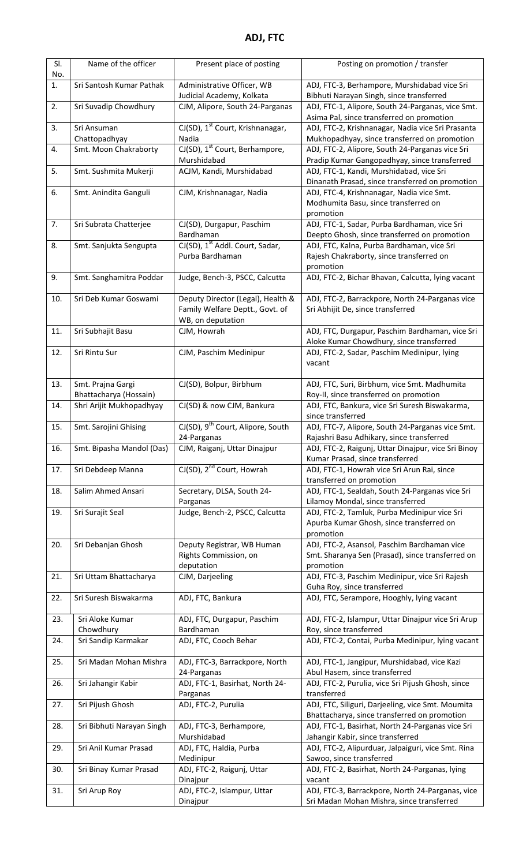| SI.<br>No. | Name of the officer                    | Present place of posting                                       | Posting on promotion / transfer                                                                 |
|------------|----------------------------------------|----------------------------------------------------------------|-------------------------------------------------------------------------------------------------|
| 1.         | Sri Santosh Kumar Pathak               | Administrative Officer, WB<br>Judicial Academy, Kolkata        | ADJ, FTC-3, Berhampore, Murshidabad vice Sri<br>Bibhuti Narayan Singh, since transferred        |
| 2.         | Sri Suvadip Chowdhury                  | CJM, Alipore, South 24-Parganas                                | ADJ, FTC-1, Alipore, South 24-Parganas, vice Smt.                                               |
|            |                                        |                                                                | Asima Pal, since transferred on promotion                                                       |
| 3.         | Sri Ansuman                            | CJ(SD), 1 <sup>st</sup> Court, Krishnanagar,                   | ADJ, FTC-2, Krishnanagar, Nadia vice Sri Prasanta                                               |
| 4.         | Chattopadhyay<br>Smt. Moon Chakraborty | Nadia<br>CJ(SD), 1 <sup>st</sup> Court, Berhampore,            | Mukhopadhyay, since transferred on promotion<br>ADJ, FTC-2, Alipore, South 24-Parganas vice Sri |
|            |                                        | Murshidabad                                                    | Pradip Kumar Gangopadhyay, since transferred                                                    |
| 5.         | Smt. Sushmita Mukerji                  | ACJM, Kandi, Murshidabad                                       | ADJ, FTC-1, Kandi, Murshidabad, vice Sri                                                        |
|            |                                        |                                                                | Dinanath Prasad, since transferred on promotion                                                 |
| 6.         | Smt. Anindita Ganguli                  | CJM, Krishnanagar, Nadia                                       | ADJ, FTC-4, Krishnanagar, Nadia vice Smt.<br>Modhumita Basu, since transferred on               |
|            |                                        |                                                                | promotion                                                                                       |
| 7.         | Sri Subrata Chatterjee                 | CJ(SD), Durgapur, Paschim                                      | ADJ, FTC-1, Sadar, Purba Bardhaman, vice Sri                                                    |
|            |                                        | Bardhaman                                                      | Deepto Ghosh, since transferred on promotion                                                    |
| 8.         | Smt. Sanjukta Sengupta                 | CJ(SD), 1 <sup>st</sup> Addl. Court, Sadar,<br>Purba Bardhaman | ADJ, FTC, Kalna, Purba Bardhaman, vice Sri<br>Rajesh Chakraborty, since transferred on          |
|            |                                        |                                                                | promotion                                                                                       |
| 9.         | Smt. Sanghamitra Poddar                | Judge, Bench-3, PSCC, Calcutta                                 | ADJ, FTC-2, Bichar Bhavan, Calcutta, lying vacant                                               |
| 10.        | Sri Deb Kumar Goswami                  | Deputy Director (Legal), Health &                              | ADJ, FTC-2, Barrackpore, North 24-Parganas vice                                                 |
|            |                                        | Family Welfare Deptt., Govt. of                                | Sri Abhijit De, since transferred                                                               |
|            |                                        | WB, on deputation                                              |                                                                                                 |
| 11.        | Sri Subhajit Basu                      | CJM, Howrah                                                    | ADJ, FTC, Durgapur, Paschim Bardhaman, vice Sri<br>Aloke Kumar Chowdhury, since transferred     |
| 12.        | Sri Rintu Sur                          | CJM, Paschim Medinipur                                         | ADJ, FTC-2, Sadar, Paschim Medinipur, lying                                                     |
|            |                                        |                                                                | vacant                                                                                          |
| 13.        | Smt. Prajna Gargi                      | CJ(SD), Bolpur, Birbhum                                        | ADJ, FTC, Suri, Birbhum, vice Smt. Madhumita                                                    |
|            | Bhattacharya (Hossain)                 |                                                                | Roy-II, since transferred on promotion                                                          |
| 14.        | Shri Arijit Mukhopadhyay               | CJ(SD) & now CJM, Bankura                                      | ADJ, FTC, Bankura, vice Sri Suresh Biswakarma,<br>since transferred                             |
| 15.        | Smt. Sarojini Ghising                  | CJ(SD), 9 <sup>th</sup> Court, Alipore, South                  | ADJ, FTC-7, Alipore, South 24-Parganas vice Smt.                                                |
|            |                                        | 24-Parganas                                                    | Rajashri Basu Adhikary, since transferred                                                       |
| 16.        | Smt. Bipasha Mandol (Das)              | CJM, Raiganj, Uttar Dinajpur                                   | ADJ, FTC-2, Raigunj, Uttar Dinajpur, vice Sri Binoy<br>Kumar Prasad, since transferred          |
| 17.        | Sri Debdeep Manna                      | CJ(SD), 2 <sup>nd</sup> Court, Howrah                          | ADJ, FTC-1, Howrah vice Sri Arun Rai, since                                                     |
| 18.        | Salim Ahmed Ansari                     | Secretary, DLSA, South 24-                                     | transferred on promotion<br>ADJ, FTC-1, Sealdah, South 24-Parganas vice Sri                     |
|            |                                        | Parganas                                                       | Lilamoy Mondal, since transferred                                                               |
| 19.        | Sri Surajit Seal                       | Judge, Bench-2, PSCC, Calcutta                                 | ADJ, FTC-2, Tamluk, Purba Medinipur vice Sri                                                    |
|            |                                        |                                                                | Apurba Kumar Ghosh, since transferred on                                                        |
| 20.        | Sri Debanjan Ghosh                     | Deputy Registrar, WB Human                                     | promotion<br>ADJ, FTC-2, Asansol, Paschim Bardhaman vice                                        |
|            |                                        | Rights Commission, on                                          | Smt. Sharanya Sen (Prasad), since transferred on                                                |
|            |                                        | deputation                                                     | promotion                                                                                       |
| 21.        | Sri Uttam Bhattacharya                 | CJM, Darjeeling                                                | ADJ, FTC-3, Paschim Medinipur, vice Sri Rajesh                                                  |
| 22.        | Sri Suresh Biswakarma                  | ADJ, FTC, Bankura                                              | Guha Roy, since transferred<br>ADJ, FTC, Serampore, Hooghly, lying vacant                       |
|            |                                        |                                                                |                                                                                                 |
| 23.        | Sri Aloke Kumar<br>Chowdhury           | ADJ, FTC, Durgapur, Paschim<br>Bardhaman                       | ADJ, FTC-2, Islampur, Uttar Dinajpur vice Sri Arup<br>Roy, since transferred                    |
| 24.        | Sri Sandip Karmakar                    | ADJ, FTC, Cooch Behar                                          | ADJ, FTC-2, Contai, Purba Medinipur, lying vacant                                               |
|            |                                        |                                                                |                                                                                                 |
| 25.        | Sri Madan Mohan Mishra                 | ADJ, FTC-3, Barrackpore, North<br>24-Parganas                  | ADJ, FTC-1, Jangipur, Murshidabad, vice Kazi<br>Abul Hasem, since transferred                   |
| 26.        | Sri Jahangir Kabir                     | ADJ, FTC-1, Basirhat, North 24-                                | ADJ, FTC-2, Purulia, vice Sri Pijush Ghosh, since                                               |
| 27.        | Sri Pijush Ghosh                       | Parganas<br>ADJ, FTC-2, Purulia                                | transferred<br>ADJ, FTC, Siliguri, Darjeeling, vice Smt. Moumita                                |
|            |                                        |                                                                | Bhattacharya, since transferred on promotion                                                    |
| 28.        | Sri Bibhuti Narayan Singh              | ADJ, FTC-3, Berhampore,                                        | ADJ, FTC-1, Basirhat, North 24-Parganas vice Sri                                                |
| 29.        | Sri Anil Kumar Prasad                  | Murshidabad<br>ADJ, FTC, Haldia, Purba                         | Jahangir Kabir, since transferred<br>ADJ, FTC-2, Alipurduar, Jalpaiguri, vice Smt. Rina         |
|            |                                        | Medinipur                                                      | Sawoo, since transferred                                                                        |
| 30.        | Sri Binay Kumar Prasad                 | ADJ, FTC-2, Raigunj, Uttar                                     | ADJ, FTC-2, Basirhat, North 24-Parganas, lying                                                  |
| 31.        | Sri Arup Roy                           | Dinajpur                                                       | vacant<br>ADJ, FTC-3, Barrackpore, North 24-Parganas, vice                                      |
|            |                                        | ADJ, FTC-2, Islampur, Uttar<br>Dinajpur                        | Sri Madan Mohan Mishra, since transferred                                                       |
|            |                                        |                                                                |                                                                                                 |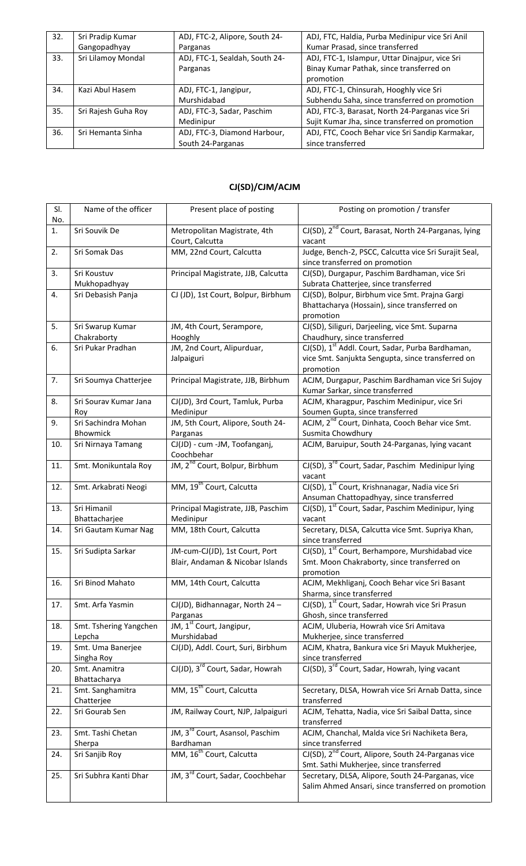| 32. | Sri Pradip Kumar    | ADJ, FTC-2, Alipore, South 24- | ADJ, FTC, Haldia, Purba Medinipur vice Sri Anil |
|-----|---------------------|--------------------------------|-------------------------------------------------|
|     | Gangopadhyay        | Parganas                       | Kumar Prasad, since transferred                 |
| 33. | Sri Lilamoy Mondal  | ADJ, FTC-1, Sealdah, South 24- | ADJ, FTC-1, Islampur, Uttar Dinajpur, vice Sri  |
|     |                     | Parganas                       | Binay Kumar Pathak, since transferred on        |
|     |                     |                                | promotion                                       |
| 34. | Kazi Abul Hasem     | ADJ, FTC-1, Jangipur,          | ADJ, FTC-1, Chinsurah, Hooghly vice Sri         |
|     |                     | Murshidabad                    | Subhendu Saha, since transferred on promotion   |
| 35. | Sri Rajesh Guha Roy | ADJ, FTC-3, Sadar, Paschim     | ADJ, FTC-3, Barasat, North 24-Parganas vice Sri |
|     |                     | Medinipur                      | Sujit Kumar Jha, since transferred on promotion |
| 36. | Sri Hemanta Sinha   | ADJ, FTC-3, Diamond Harbour,   | ADJ, FTC, Cooch Behar vice Sri Sandip Karmakar, |
|     |                     | South 24-Parganas              | since transferred                               |

## **CJ(SD)/CJM/ACJM**

| SI.<br>No. | Name of the officer              | Present place of posting                                           | Posting on promotion / transfer                                                                                                |
|------------|----------------------------------|--------------------------------------------------------------------|--------------------------------------------------------------------------------------------------------------------------------|
| 1.         | Sri Souvik De                    | Metropolitan Magistrate, 4th<br>Court, Calcutta                    | CJ(SD), 2 <sup>nd</sup> Court, Barasat, North 24-Parganas, lying<br>vacant                                                     |
| 2.         | Sri Somak Das                    | MM, 22nd Court, Calcutta                                           | Judge, Bench-2, PSCC, Calcutta vice Sri Surajit Seal,<br>since transferred on promotion                                        |
| 3.         | Sri Koustuv<br>Mukhopadhyay      | Principal Magistrate, JJB, Calcutta                                | CJ(SD), Durgapur, Paschim Bardhaman, vice Sri<br>Subrata Chatterjee, since transferred                                         |
| 4.         | Sri Debasish Panja               | CJ (JD), 1st Court, Bolpur, Birbhum                                | CJ(SD), Bolpur, Birbhum vice Smt. Prajna Gargi<br>Bhattacharya (Hossain), since transferred on<br>promotion                    |
| 5.         | Sri Swarup Kumar<br>Chakraborty  | JM, 4th Court, Serampore,<br>Hooghly                               | CJ(SD), Siliguri, Darjeeling, vice Smt. Suparna<br>Chaudhury, since transferred                                                |
| 6.         | Sri Pukar Pradhan                | JM, 2nd Court, Alipurduar,<br>Jalpaiguri                           | CJ(SD), 1 <sup>st</sup> Addl. Court, Sadar, Purba Bardhaman,<br>vice Smt. Sanjukta Sengupta, since transferred on<br>promotion |
| 7.         | Sri Soumya Chatterjee            | Principal Magistrate, JJB, Birbhum                                 | ACJM, Durgapur, Paschim Bardhaman vice Sri Sujoy<br>Kumar Sarkar, since transferred                                            |
| 8.         | Sri Sourav Kumar Jana<br>Roy     | CJ(JD), 3rd Court, Tamluk, Purba<br>Medinipur                      | ACJM, Kharagpur, Paschim Medinipur, vice Sri<br>Soumen Gupta, since transferred                                                |
| 9.         | Sri Sachindra Mohan<br>Bhowmick  | JM, 5th Court, Alipore, South 24-<br>Parganas                      | ACJM, 2 <sup>nd</sup> Court, Dinhata, Cooch Behar vice Smt.<br>Susmita Chowdhury                                               |
| 10.        | Sri Nirnaya Tamang               | CJ(JD) - cum -JM, Toofanganj,<br>Coochbehar                        | ACJM, Baruipur, South 24-Parganas, lying vacant                                                                                |
| 11.        | Smt. Monikuntala Roy             | JM, 2 <sup>nd</sup> Court, Bolpur, Birbhum                         | CJ(SD), 3 <sup>rd</sup> Court, Sadar, Paschim Medinipur lying<br>vacant                                                        |
| 12.        | Smt. Arkabrati Neogi             | MM, 19 <sup>th</sup> Court, Calcutta                               | CJ(SD), 1 <sup>st</sup> Court, Krishnanagar, Nadia vice Sri<br>Ansuman Chattopadhyay, since transferred                        |
| 13.        | Sri Himanil<br>Bhattacharjee     | Principal Magistrate, JJB, Paschim<br>Medinipur                    | CJ(SD), 1 <sup>st</sup> Court, Sadar, Paschim Medinipur, lying<br>vacant                                                       |
| 14.        | Sri Gautam Kumar Nag             | MM, 18th Court, Calcutta                                           | Secretary, DLSA, Calcutta vice Smt. Supriya Khan,<br>since transferred                                                         |
| 15.        | Sri Sudipta Sarkar               | JM-cum-CJ(JD), 1st Court, Port<br>Blair, Andaman & Nicobar Islands | CJ(SD), 1 <sup>st</sup> Court, Berhampore, Murshidabad vice<br>Smt. Moon Chakraborty, since transferred on<br>promotion        |
| 16.        | Sri Binod Mahato                 | MM, 14th Court, Calcutta                                           | ACJM, Mekhliganj, Cooch Behar vice Sri Basant<br>Sharma, since transferred                                                     |
| 17.        | Smt. Arfa Yasmin                 | CJ(JD), Bidhannagar, North 24 -<br>Parganas                        | CJ(SD), 1 <sup>st</sup> Court, Sadar, Howrah vice Sri Prasun<br>Ghosh, since transferred                                       |
| 18.        | Smt. Tshering Yangchen<br>Lepcha | JM, 1 <sup>st</sup> Court, Jangipur,<br>Murshidabad                | ACJM, Uluberia, Howrah vice Sri Amitava<br>Mukherjee, since transferred                                                        |
| 19.        | Smt. Uma Banerjee<br>Singha Roy  | CJ(JD), Addl. Court, Suri, Birbhum                                 | ACJM, Khatra, Bankura vice Sri Mayuk Mukherjee,<br>since transferred                                                           |
| 20.        | Smt. Anamitra<br>Bhattacharya    | CJ(JD), 3 <sup>rd</sup> Court, Sadar, Howrah                       | CJ(SD), 3 <sup>rd</sup> Court, Sadar, Howrah, lying vacant                                                                     |
| 21.        | Smt. Sanghamitra<br>Chatterjee   | MM, 15 <sup>th</sup> Court, Calcutta                               | Secretary, DLSA, Howrah vice Sri Arnab Datta, since<br>transferred                                                             |
| 22.        | Sri Gourab Sen                   | JM, Railway Court, NJP, Jalpaiguri                                 | ACJM, Tehatta, Nadia, vice Sri Saibal Datta, since<br>transferred                                                              |
| 23.        | Smt. Tashi Chetan<br>Sherpa      | JM, 3 <sup>rd</sup> Court, Asansol, Paschim<br>Bardhaman           | ACJM, Chanchal, Malda vice Sri Nachiketa Bera,<br>since transferred                                                            |
| 24.        | Sri Sanjib Roy                   | MM, 16 <sup>th</sup> Court, Calcutta                               | CJ(SD), 2 <sup>nd</sup> Court, Alipore, South 24-Parganas vice<br>Smt. Sathi Mukherjee, since transferred                      |
| 25.        | Sri Subhra Kanti Dhar            | JM, 3 <sup>rd</sup> Court, Sadar, Coochbehar                       | Secretary, DLSA, Alipore, South 24-Parganas, vice<br>Salim Ahmed Ansari, since transferred on promotion                        |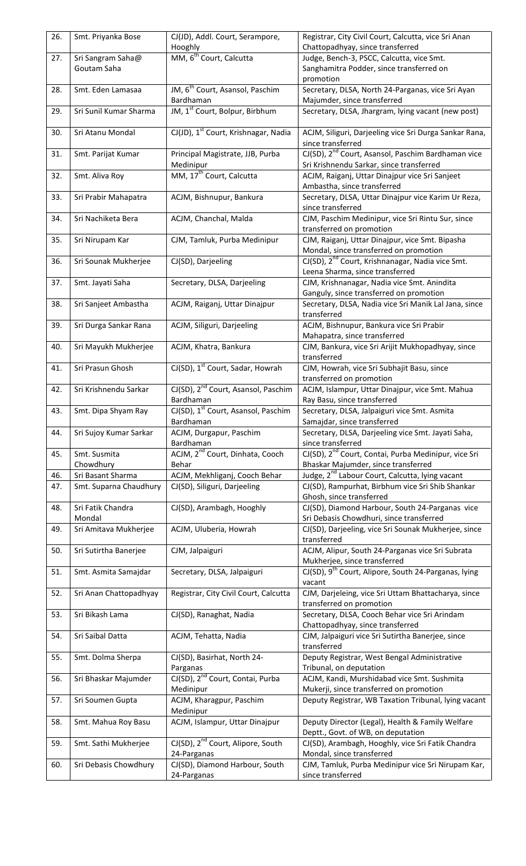| 26. | Smt. Priyanka Bose          | CJ(JD), Addl. Court, Serampore,<br>Hooghly                   | Registrar, City Civil Court, Calcutta, vice Sri Anan<br>Chattopadhyay, since transferred                   |
|-----|-----------------------------|--------------------------------------------------------------|------------------------------------------------------------------------------------------------------------|
| 27. | Sri Sangram Saha@           | MM, 6 <sup>th</sup> Court, Calcutta                          | Judge, Bench-3, PSCC, Calcutta, vice Smt.                                                                  |
|     | Goutam Saha                 |                                                              | Sanghamitra Podder, since transferred on                                                                   |
|     |                             |                                                              | promotion                                                                                                  |
| 28. | Smt. Eden Lamasaa           | JM, 6 <sup>th</sup> Court, Asansol, Paschim<br>Bardhaman     | Secretary, DLSA, North 24-Parganas, vice Sri Ayan<br>Majumder, since transferred                           |
| 29. | Sri Sunil Kumar Sharma      | JM, 1 <sup>st</sup> Court, Bolpur, Birbhum                   | Secretary, DLSA, Jhargram, lying vacant (new post)                                                         |
| 30. | Sri Atanu Mondal            | CJ(JD), 1 <sup>st</sup> Court, Krishnagar, Nadia             | ACJM, Siliguri, Darjeeling vice Sri Durga Sankar Rana,<br>since transferred                                |
| 31. | Smt. Parijat Kumar          | Principal Magistrate, JJB, Purba<br>Medinipur                | CJ(SD), 2 <sup>nd</sup> Court, Asansol, Paschim Bardhaman vice<br>Sri Krishnendu Sarkar, since transferred |
| 32. | Smt. Aliva Roy              | MM, 17 <sup>th</sup> Court, Calcutta                         | ACJM, Raiganj, Uttar Dinajpur vice Sri Sanjeet<br>Ambastha, since transferred                              |
| 33. | Sri Prabir Mahapatra        | ACJM, Bishnupur, Bankura                                     | Secretary, DLSA, Uttar Dinajpur vice Karim Ur Reza,<br>since transferred                                   |
| 34. | Sri Nachiketa Bera          | ACJM, Chanchal, Malda                                        | CJM, Paschim Medinipur, vice Sri Rintu Sur, since<br>transferred on promotion                              |
| 35. | Sri Nirupam Kar             | CJM, Tamluk, Purba Medinipur                                 | CJM, Raiganj, Uttar Dinajpur, vice Smt. Bipasha<br>Mondal, since transferred on promotion                  |
| 36. | Sri Sounak Mukherjee        | CJ(SD), Darjeeling                                           | CJ(SD), 2 <sup>nd</sup> Court, Krishnanagar, Nadia vice Smt.<br>Leena Sharma, since transferred            |
| 37. | Smt. Jayati Saha            | Secretary, DLSA, Darjeeling                                  | CJM, Krishnanagar, Nadia vice Smt. Anindita                                                                |
|     |                             |                                                              | Ganguly, since transferred on promotion                                                                    |
| 38. | Sri Sanjeet Ambastha        | ACJM, Raiganj, Uttar Dinajpur                                | Secretary, DLSA, Nadia vice Sri Manik Lal Jana, since<br>transferred                                       |
| 39. | Sri Durga Sankar Rana       | ACJM, Siliguri, Darjeeling                                   | ACJM, Bishnupur, Bankura vice Sri Prabir                                                                   |
|     |                             |                                                              | Mahapatra, since transferred                                                                               |
| 40. | Sri Mayukh Mukherjee        | ACJM, Khatra, Bankura                                        | CJM, Bankura, vice Sri Arijit Mukhopadhyay, since<br>transferred                                           |
| 41. | Sri Prasun Ghosh            | CJ(SD), 1 <sup>st</sup> Court, Sadar, Howrah                 | CJM, Howrah, vice Sri Subhajit Basu, since<br>transferred on promotion                                     |
| 42. | Sri Krishnendu Sarkar       | CJ(SD), 2 <sup>nd</sup> Court, Asansol, Paschim<br>Bardhaman | ACJM, Islampur, Uttar Dinajpur, vice Smt. Mahua<br>Ray Basu, since transferred                             |
| 43. | Smt. Dipa Shyam Ray         | CJ(SD), 1 <sup>st</sup> Court, Asansol, Paschim<br>Bardhaman | Secretary, DLSA, Jalpaiguri vice Smt. Asmita<br>Samajdar, since transferred                                |
| 44. | Sri Sujoy Kumar Sarkar      | ACJM, Durgapur, Paschim<br>Bardhaman                         | Secretary, DLSA, Darjeeling vice Smt. Jayati Saha,<br>since transferred                                    |
| 45. | Smt. Susmita                | ACJM, 2 <sup>nd</sup> Court, Dinhata, Cooch                  | CJ(SD), 2 <sup>nd</sup> Court, Contai, Purba Medinipur, vice Sri                                           |
|     | Chowdhury                   | Behar                                                        | Bhaskar Majumder, since transferred                                                                        |
| 46. | Sri Basant Sharma           | ACJM, Mekhliganj, Cooch Behar                                | Judge, 2 <sup>nd</sup> Labour Court, Calcutta, lying vacant                                                |
| 47. | Smt. Suparna Chaudhury      | CJ(SD), Siliguri, Darjeeling                                 | CJ(SD), Rampurhat, Birbhum vice Sri Shib Shankar<br>Ghosh, since transferred                               |
| 48. | Sri Fatik Chandra<br>Mondal | CJ(SD), Arambagh, Hooghly                                    | CJ(SD), Diamond Harbour, South 24-Parganas vice<br>Sri Debasis Chowdhuri, since transferred                |
| 49. | Sri Amitava Mukherjee       | ACJM, Uluberia, Howrah                                       | CJ(SD), Darjeeling, vice Sri Sounak Mukherjee, since<br>transferred                                        |
| 50. | Sri Sutirtha Banerjee       | CJM, Jalpaiguri                                              | ACJM, Alipur, South 24-Parganas vice Sri Subrata<br>Mukherjee, since transferred                           |
| 51. | Smt. Asmita Samajdar        | Secretary, DLSA, Jalpaiguri                                  | CJ(SD), 9 <sup>th</sup> Court, Alipore, South 24-Parganas, lying<br>vacant                                 |
| 52. | Sri Anan Chattopadhyay      | Registrar, City Civil Court, Calcutta                        | CJM, Darjeleing, vice Sri Uttam Bhattacharya, since<br>transferred on promotion                            |
| 53. | Sri Bikash Lama             | CJ(SD), Ranaghat, Nadia                                      | Secretary, DLSA, Cooch Behar vice Sri Arindam<br>Chattopadhyay, since transferred                          |
| 54. | Sri Saibal Datta            | ACJM, Tehatta, Nadia                                         | CJM, Jalpaiguri vice Sri Sutirtha Banerjee, since<br>transferred                                           |
| 55. | Smt. Dolma Sherpa           | CJ(SD), Basirhat, North 24-<br>Parganas                      | Deputy Registrar, West Bengal Administrative<br>Tribunal, on deputation                                    |
| 56. | Sri Bhaskar Majumder        | CJ(SD), 2 <sup>nd</sup> Court, Contai, Purba<br>Medinipur    | ACJM, Kandi, Murshidabad vice Smt. Sushmita<br>Mukerji, since transferred on promotion                     |
| 57. | Sri Soumen Gupta            | ACJM, Kharagpur, Paschim<br>Medinipur                        | Deputy Registrar, WB Taxation Tribunal, lying vacant                                                       |
| 58. | Smt. Mahua Roy Basu         | ACJM, Islampur, Uttar Dinajpur                               | Deputy Director (Legal), Health & Family Welfare<br>Deptt., Govt. of WB, on deputation                     |
| 59. | Smt. Sathi Mukherjee        | CJ(SD), 2 <sup>nd</sup> Court, Alipore, South                | CJ(SD), Arambagh, Hooghly, vice Sri Fatik Chandra                                                          |
|     |                             | 24-Parganas                                                  | Mondal, since transferred                                                                                  |
| 60. | Sri Debasis Chowdhury       | CJ(SD), Diamond Harbour, South<br>24-Parganas                | CJM, Tamluk, Purba Medinipur vice Sri Nirupam Kar,<br>since transferred                                    |